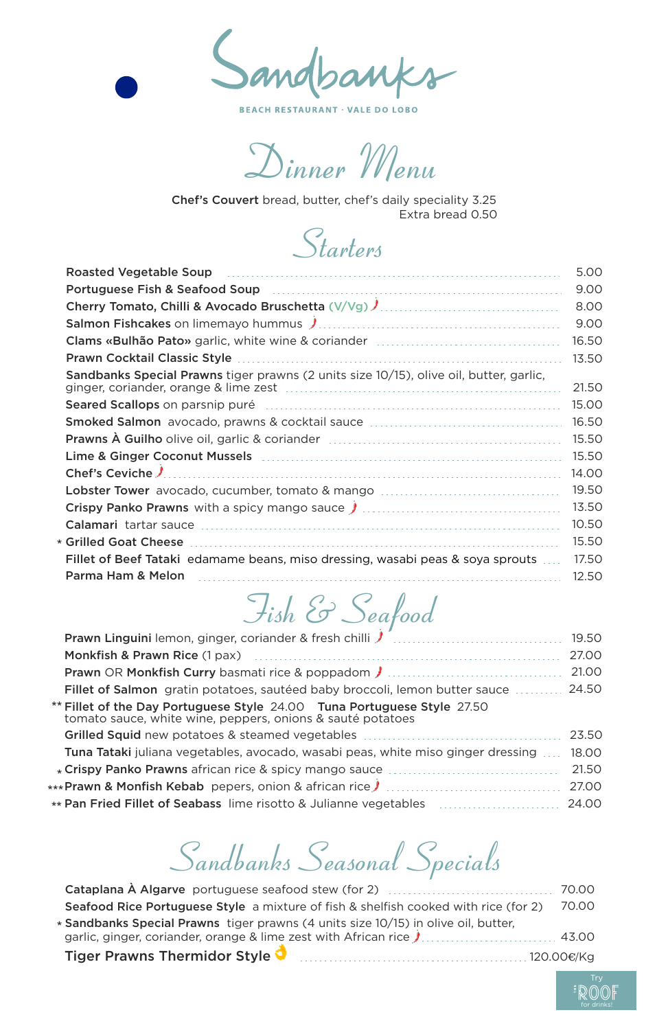

**BEACH RESTAURANT · VALE DO LOBO** 

*Dinner Menu*

Chef's Couvert bread, butter, chef's daily speciality 3.25 Extra bread 0.50

### *Starters*

| 5.00  |
|-------|
| 9.00  |
| 8.00  |
| 9.00  |
| 16.50 |
| 13.50 |
| 21.50 |
| 15.00 |
| 16.50 |
| 15.50 |
| 15.50 |
| 14.00 |
| 19.50 |
| 13.50 |
| 10.50 |
| 15.50 |
| 17.50 |
| 12.50 |
|       |

## *Fish & Seafood*

| Prawn Linguini lemon, ginger, coriander & fresh chilli   [[[[Contently contained to the Prawn Linguini lemon,                         | 19.50 |
|---------------------------------------------------------------------------------------------------------------------------------------|-------|
| Monkfish & Prawn Rice (1 pax) [10] Monkfish & Prawn Rice (1 pax)                                                                      | 27.00 |
| <b>Prawn OR Monkfish Curry basmati rice &amp; poppadom / </b>                                                                         | 21.00 |
| Fillet of Salmon gratin potatoes, sautéed baby broccoli, lemon butter sauce                                                           | 24.50 |
| ** Fillet of the Day Portuguese Style 24.00 Tuna Portuguese Style 27.50<br>tomato sauce, white wine, peppers, onions & sauté potatoes |       |
|                                                                                                                                       | 23.50 |
| <b>Tuna Tataki</b> juliana vegetables, avocado, wasabi peas, white miso ginger dressing                                               | 18.00 |
|                                                                                                                                       | 21.50 |
| ***Prawn & Monfish Kebab pepers, onion & african rice. All manuscriptions and the Monfish Kebab pepers.                               | 27.00 |
|                                                                                                                                       |       |
|                                                                                                                                       | 24.00 |

## *Sandbanks Seasonal Specials*

| <b>Seafood Rice Portuguese Style</b> a mixture of fish & shelfish cooked with rice (for 2) | 70.00 |
|--------------------------------------------------------------------------------------------|-------|
| * Sandbanks Special Prawns tiger prawns (4 units size 10/15) in olive oil, butter,         |       |
| garlic, ginger, coriander, orange & lime zest with African rice J 43.00                    |       |
| Tiger Prawns Thermidor Style                                                               |       |